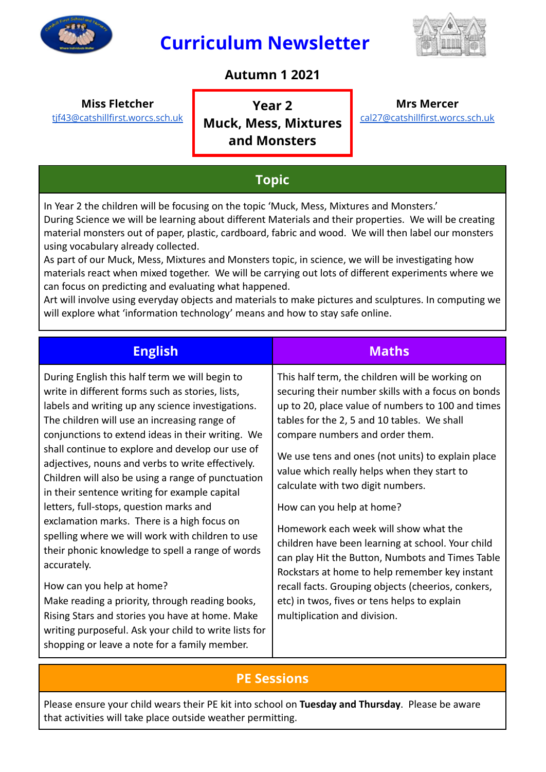

## **Curriculum Newsletter**



#### **Autumn 1 2021**

#### **Miss Fletcher**

[tjf43@catshillfirst.worcs.sch.uk](mailto:tjf43@catshillfirst.worcs.sch.uk)

**Year 2 Muck, Mess, Mixtures and Monsters**

**Mrs Mercer** [cal27@catshillfirst.worcs.sch.uk](mailto:cal27@catshillfirst.worcs.sch.uk)

#### **Topic**

In Year 2 the children will be focusing on the topic 'Muck, Mess, Mixtures and Monsters.' During Science we will be learning about different Materials and their properties. We will be creating material monsters out of paper, plastic, cardboard, fabric and wood. We will then label our monsters using vocabulary already collected.

As part of our Muck, Mess, Mixtures and Monsters topic, in science, we will be investigating how materials react when mixed together. We will be carrying out lots of different experiments where we can focus on predicting and evaluating what happened.

Art will involve using everyday objects and materials to make pictures and sculptures. In computing we will explore what 'information technology' means and how to stay safe online.

| <b>English</b>                                                                                                                                                                                                                                                                                                                                                                                                                                                                                                                                                                                                                                                                                                                                                                                                                                                                                                                             | Maths                                                                                                                                                                                                                                                                                                                                                                                                                                                                                                                                                                                                                                                                                                                                                        |
|--------------------------------------------------------------------------------------------------------------------------------------------------------------------------------------------------------------------------------------------------------------------------------------------------------------------------------------------------------------------------------------------------------------------------------------------------------------------------------------------------------------------------------------------------------------------------------------------------------------------------------------------------------------------------------------------------------------------------------------------------------------------------------------------------------------------------------------------------------------------------------------------------------------------------------------------|--------------------------------------------------------------------------------------------------------------------------------------------------------------------------------------------------------------------------------------------------------------------------------------------------------------------------------------------------------------------------------------------------------------------------------------------------------------------------------------------------------------------------------------------------------------------------------------------------------------------------------------------------------------------------------------------------------------------------------------------------------------|
| During English this half term we will begin to<br>write in different forms such as stories, lists,<br>labels and writing up any science investigations.<br>The children will use an increasing range of<br>conjunctions to extend ideas in their writing. We<br>shall continue to explore and develop our use of<br>adjectives, nouns and verbs to write effectively.<br>Children will also be using a range of punctuation<br>in their sentence writing for example capital<br>letters, full-stops, question marks and<br>exclamation marks. There is a high focus on<br>spelling where we will work with children to use<br>their phonic knowledge to spell a range of words<br>accurately.<br>How can you help at home?<br>Make reading a priority, through reading books,<br>Rising Stars and stories you have at home. Make<br>writing purposeful. Ask your child to write lists for<br>shopping or leave a note for a family member. | This half term, the children will be working on<br>securing their number skills with a focus on bonds<br>up to 20, place value of numbers to 100 and times<br>tables for the 2, 5 and 10 tables. We shall<br>compare numbers and order them.<br>We use tens and ones (not units) to explain place<br>value which really helps when they start to<br>calculate with two digit numbers.<br>How can you help at home?<br>Homework each week will show what the<br>children have been learning at school. Your child<br>can play Hit the Button, Numbots and Times Table<br>Rockstars at home to help remember key instant<br>recall facts. Grouping objects (cheerios, conkers,<br>etc) in twos, fives or tens helps to explain<br>multiplication and division. |

#### **PE Sessions**

Please ensure your child wears their PE kit into school on **Tuesday and Thursday**. Please be aware that activities will take place outside weather permitting.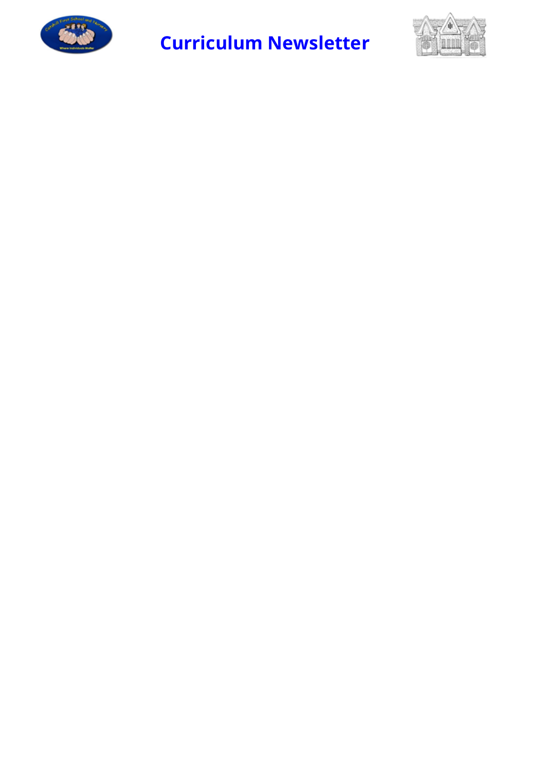

# **Curriculum Newsletter**